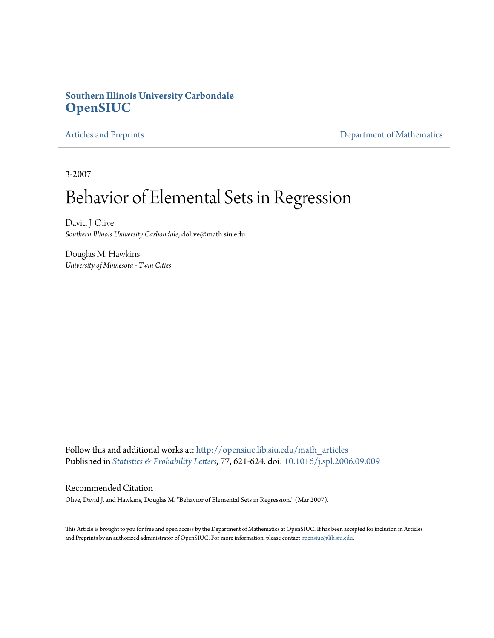## **Southern Illinois University Carbondale [OpenSIUC](http://opensiuc.lib.siu.edu?utm_source=opensiuc.lib.siu.edu%2Fmath_articles%2F14&utm_medium=PDF&utm_campaign=PDFCoverPages)**

[Articles and Preprints](http://opensiuc.lib.siu.edu/math_articles?utm_source=opensiuc.lib.siu.edu%2Fmath_articles%2F14&utm_medium=PDF&utm_campaign=PDFCoverPages) **[Department of Mathematics](http://opensiuc.lib.siu.edu/math?utm_source=opensiuc.lib.siu.edu%2Fmath_articles%2F14&utm_medium=PDF&utm_campaign=PDFCoverPages)** 

3-2007

# Behavior of Elemental Sets in Regression

David J. Olive *Southern Illinois University Carbondale*, dolive@math.siu.edu

Douglas M. Hawkins *University of Minnesota - Twin Cities*

Follow this and additional works at: [http://opensiuc.lib.siu.edu/math\\_articles](http://opensiuc.lib.siu.edu/math_articles?utm_source=opensiuc.lib.siu.edu%2Fmath_articles%2F14&utm_medium=PDF&utm_campaign=PDFCoverPages) Published in *[Statistics & Probability Letters](http://www.elsevier.com/wps/find/journaldescription.cws_home/505573/description#description)*, 77, 621-624. doi: [10.1016/j.spl.2006.09.009](http://dx.doi.org/10.1016/j.spl.2006.09.009)

### Recommended Citation

Olive, David J. and Hawkins, Douglas M. "Behavior of Elemental Sets in Regression." (Mar 2007).

This Article is brought to you for free and open access by the Department of Mathematics at OpenSIUC. It has been accepted for inclusion in Articles and Preprints by an authorized administrator of OpenSIUC. For more information, please contact [opensiuc@lib.siu.edu](mailto:opensiuc@lib.siu.edu).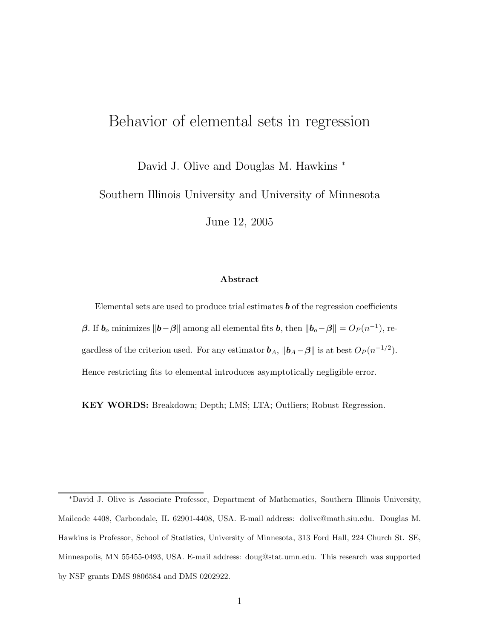# Behavior of elemental sets in regression

David J. Olive and Douglas M. Hawkins <sup>∗</sup>

Southern Illinois University and University of Minnesota

June 12, 2005

#### **Abstract**

Elemental sets are used to produce trial estimates *b* of the regression coefficients *β*. If  $\boldsymbol{b}_o$  minimizes  $||\boldsymbol{b} - \boldsymbol{\beta}||$  among all elemental fits  $\boldsymbol{b}$ , then  $||\boldsymbol{b}_o - \boldsymbol{\beta}|| = O_P(n^{-1})$ , regardless of the criterion used. For any estimator  $\boldsymbol{b}_A$ ,  $\|\boldsymbol{b}_A - \boldsymbol{\beta}\|$  is at best  $O_P(n^{-1/2})$ . Hence restricting fits to elemental introduces asymptotically negligible error.

**KEY WORDS:** Breakdown; Depth; LMS; LTA; Outliers; Robust Regression.

<sup>∗</sup>David J. Olive is Associate Professor, Department of Mathematics, Southern Illinois University, Mailcode 4408, Carbondale, IL 62901-4408, USA. E-mail address: dolive@math.siu.edu. Douglas M. Hawkins is Professor, School of Statistics, University of Minnesota, 313 Ford Hall, 224 Church St. SE, Minneapolis, MN 55455-0493, USA. E-mail address: doug@stat.umn.edu. This research was supported by NSF grants DMS 9806584 and DMS 0202922.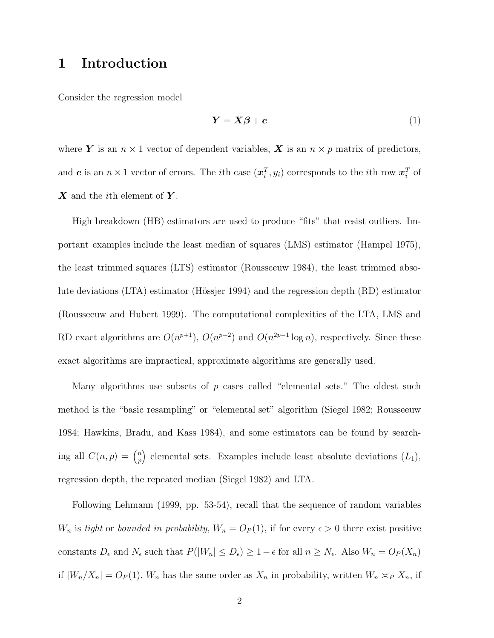# **1 Introduction**

Consider the regression model

$$
Y = X\beta + e \tag{1}
$$

where **Y** is an  $n \times 1$  vector of dependent variables, **X** is an  $n \times p$  matrix of predictors, and *e* is an  $n \times 1$  vector of errors. The *i*<sup>th</sup> case  $(x_i^T, y_i)$  corresponds to the *i*<sup>th</sup> row  $x_i^T$  of *X* and the ith element of *Y* .

High breakdown (HB) estimators are used to produce "fits" that resist outliers. Important examples include the least median of squares (LMS) estimator (Hampel 1975), the least trimmed squares (LTS) estimator (Rousseeuw 1984), the least trimmed absolute deviations (LTA) estimator (Hössjer 1994) and the regression depth (RD) estimator (Rousseeuw and Hubert 1999). The computational complexities of the LTA, LMS and RD exact algorithms are  $O(n^{p+1})$ ,  $O(n^{p+2})$  and  $O(n^{2p-1} \log n)$ , respectively. Since these exact algorithms are impractical, approximate algorithms are generally used.

Many algorithms use subsets of  $p$  cases called "elemental sets." The oldest such method is the "basic resampling" or "elemental set" algorithm (Siegel 1982; Rousseeuw 1984; Hawkins, Bradu, and Kass 1984), and some estimators can be found by searching all  $C(n, p) = \binom{n}{n}$ *p* elemental sets. Examples include least absolute deviations  $(L_1)$ , regression depth, the repeated median (Siegel 1982) and LTA.

Following Lehmann (1999, pp. 53-54), recall that the sequence of random variables  $W_n$  is *tight* or *bounded in probability,*  $W_n = O_P(1)$ , if for every  $\epsilon > 0$  there exist positive constants  $D_{\epsilon}$  and  $N_{\epsilon}$  such that  $P(|W_n| \leq D_{\epsilon}) \geq 1 - \epsilon$  for all  $n \geq N_{\epsilon}$ . Also  $W_n = O_P(X_n)$ if  $|W_n/X_n| = O_P(1)$ .  $W_n$  has the same order as  $X_n$  in probability, written  $W_n \simeq_P X_n$ , if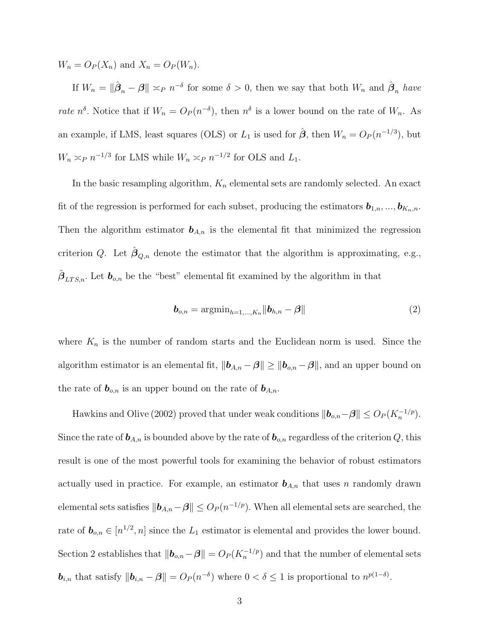$W_n = O_P(X_n)$  and  $X_n = O_P(W_n)$ .

If  $W_n = \|\hat{\boldsymbol{\beta}}_n - \boldsymbol{\beta}\| \asymp_P n^{-\delta}$  for some  $\delta > 0$ , then we say that both  $W_n$  and  $\hat{\boldsymbol{\beta}}_n$  *have rate*  $n^{\delta}$ . Notice that if  $W_n = O_P(n^{-\delta})$ , then  $n^{\delta}$  is a lower bound on the rate of  $W_n$ . As an example, if LMS, least squares (OLS) or  $L_1$  is used for  $\hat{\boldsymbol{\beta}}$ , then  $W_n = O_P(n^{-1/3})$ , but  $W_n \asymp_P n^{-1/3}$  for LMS while  $W_n \asymp_P n^{-1/2}$  for OLS and  $L_1$ .

In the basic resampling algorithm, K*<sup>n</sup>* elemental sets are randomly selected. An exact fit of the regression is performed for each subset, producing the estimators  $\mathbf{b}_{1,n},...,\mathbf{b}_{K_n,n}$ . Then the algorithm estimator  $\mathbf{b}_{A,n}$  is the elemental fit that minimized the regression criterion Q. Let  $\hat{\beta}_{Q,n}$  denote the estimator that the algorithm is approximating, e.g.,  $\beta_{LTS,n}$ . Let  $\boldsymbol{b}_{o,n}$  be the "best" elemental fit examined by the algorithm in that

$$
\boldsymbol{b}_{o,n} = \operatorname{argmin}_{h=1,\dots,K_n} \|\boldsymbol{b}_{h,n} - \boldsymbol{\beta}\|
$$
\n(2)

where  $K_n$  is the number of random starts and the Euclidean norm is used. Since the algorithm estimator is an elemental fit,  $||\boldsymbol{b}_{A,n} - \boldsymbol{\beta}|| \ge ||\boldsymbol{b}_{o,n} - \boldsymbol{\beta}||$ , and an upper bound on the rate of  $\boldsymbol{b}_{o,n}$  is an upper bound on the rate of  $\boldsymbol{b}_{A,n}$ .

Hawkins and Olive (2002) proved that under weak conditions  $||\boldsymbol{b}_{o,n} - \boldsymbol{\beta}|| \leq O_P(K_n^{-1/p})$ . Since the rate of  $\mathbf{b}_{A,n}$  is bounded above by the rate of  $\mathbf{b}_{o,n}$  regardless of the criterion  $Q$ , this result is one of the most powerful tools for examining the behavior of robust estimators actually used in practice. For example, an estimator  $b_{A,n}$  that uses n randomly drawn elemental sets satisfies  $||\boldsymbol{b}_{A,n} - \boldsymbol{\beta}|| \leq O_P(n^{-1/p})$ . When all elemental sets are searched, the rate of  $\mathbf{b}_{o,n} \in [n^{1/2}, n]$  since the  $L_1$  estimator is elemental and provides the lower bound. Section 2 establishes that  $||\boldsymbol{b}_{o,n} - \boldsymbol{\beta}|| = O_P(K_n^{-1/p})$  and that the number of elemental sets *<i>b<sub>i,n</sub>* that satisfy  $||\boldsymbol{b}_{i,n} - \boldsymbol{\beta}|| = O_P(n^{-\delta})$  where  $0 < \delta \leq 1$  is proportional to  $n^{p(1-\delta)}$ .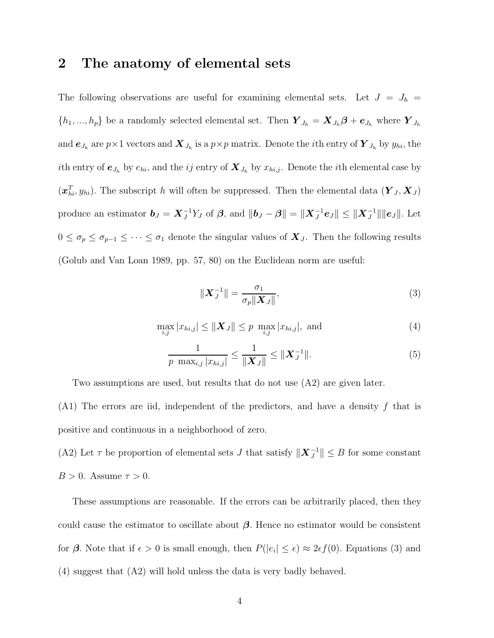## **2 The anatomy of elemental sets**

The following observations are useful for examining elemental sets. Let  $J = J_h$  $\{h_1, ..., h_p\}$  be a randomly selected elemental set. Then  $\boldsymbol{Y}_{J_h} = \boldsymbol{X}_{J_h} \boldsymbol{\beta} + \boldsymbol{e}_{J_h}$  where  $\boldsymbol{Y}_{J_h}$ and  $e_{J_h}$  are  $p \times 1$  vectors and  $\boldsymbol{X}_{J_h}$  is a  $p \times p$  matrix. Denote the *i*th entry of  $\boldsymbol{Y}_{J_h}$  by  $y_{hi}$ , the ith entry of  $e_{J_h}$  by  $e_{hi}$ , and the *ij* entry of  $X_{J_h}$  by  $x_{hi,j}$ . Denote the *i*th elemental case by  $(\boldsymbol{x}_{hi}^T, y_{hi})$ . The subscript h will often be suppressed. Then the elemental data  $(Y_J, X_J)$ produce an estimator  $\boldsymbol{b}_J = \boldsymbol{X}_J^{-1} Y_J$  of  $\boldsymbol{\beta}$ , and  $\|\boldsymbol{b}_J - \boldsymbol{\beta}\| = \|\boldsymbol{X}_J^{-1} \boldsymbol{e}_J\| \leq \|\boldsymbol{X}_J^{-1}\| \|\boldsymbol{e}_J\|$ . Let  $0 \leq \sigma_p \leq \sigma_{p-1} \leq \cdots \leq \sigma_1$  denote the singular values of  $\mathbf{X}_J$ . Then the following results (Golub and Van Loan 1989, pp. 57, 80) on the Euclidean norm are useful:

$$
\|\boldsymbol{X}_J^{-1}\| = \frac{\sigma_1}{\sigma_p \|\boldsymbol{X}_J\|},\tag{3}
$$

$$
\max_{i,j} |x_{hi,j}| \le ||\bm{X}_J|| \le p \; \max_{i,j} |x_{hi,j}|, \text{ and } \tag{4}
$$

$$
\frac{1}{p \max_{i,j} |x_{hi,j}|} \le \frac{1}{\|\mathbf{X}_J\|} \le \|\mathbf{X}_J^{-1}\|.
$$
 (5)

Two assumptions are used, but results that do not use (A2) are given later.

 $(A1)$  The errors are iid, independent of the predictors, and have a density f that is positive and continuous in a neighborhood of zero.

(A2) Let  $\tau$  be proportion of elemental sets *J* that satisfy  $||\boldsymbol{X}_J^{-1}|| \leq B$  for some constant  $B > 0$ . Assume  $\tau > 0$ .

These assumptions are reasonable. If the errors can be arbitrarily placed, then they could cause the estimator to oscillate about *β*. Hence no estimator would be consistent for  $\beta$ . Note that if  $\epsilon > 0$  is small enough, then  $P(|e_i| \leq \epsilon) \approx 2\epsilon f(0)$ . Equations (3) and (4) suggest that (A2) will hold unless the data is very badly behaved.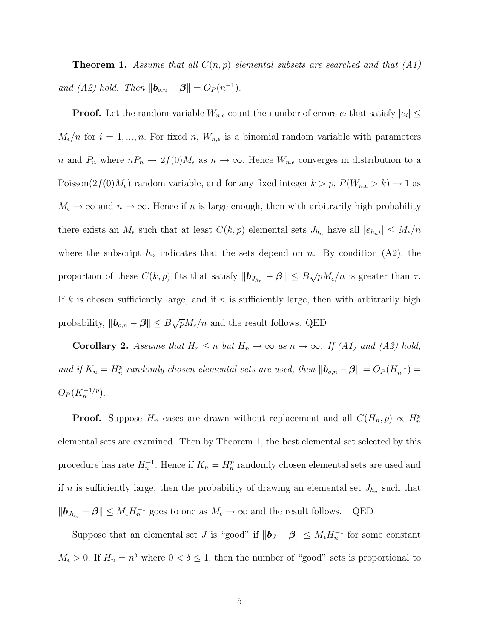**Theorem 1.** *Assume that all*  $C(n, p)$  *elemental subsets are searched and that*  $(A1)$ *and (A2) hold. Then*  $||\mathbf{b}_{o,n} - \mathbf{\beta}|| = O_P(n^{-1}).$ 

**Proof.** Let the random variable  $W_{n,\epsilon}$  count the number of errors  $e_i$  that satisfy  $|e_i| \leq$  $M_{\epsilon}/n$  for  $i = 1, ..., n$ . For fixed n,  $W_{n,\epsilon}$  is a binomial random variable with parameters n and  $P_n$  where  $nP_n \to 2f(0)M_\epsilon$  as  $n \to \infty$ . Hence  $W_{n,\epsilon}$  converges in distribution to a Poisson $(2f(0)M_{\epsilon})$  random variable, and for any fixed integer  $k > p$ ,  $P(W_{n,\epsilon} > k) \rightarrow 1$  as  $M_{\epsilon} \to \infty$  and  $n \to \infty$ . Hence if n is large enough, then with arbitrarily high probability there exists an  $M_{\epsilon}$  such that at least  $C(k, p)$  elemental sets  $J_{h_n}$  have all  $|e_{h_n}|\leq M_{\epsilon}/n$ where the subscript  $h_n$  indicates that the sets depend on n. By condition  $(A2)$ , the proportion of these  $C(k, p)$  fits that satisfy  $\|\boldsymbol{b}_{J_{h_n}} - \boldsymbol{\beta}\| \leq B\sqrt{p}M_{\epsilon}/n$  is greater than  $\tau$ . If k is chosen sufficiently large, and if n is sufficiently large, then with arbitrarily high probability,  $||\boldsymbol{b}_{o,n} - \boldsymbol{\beta}|| \leq B\sqrt{p}M_{\epsilon}/n$  and the result follows. QED

**Corollary 2.** *Assume that*  $H_n \leq n$  *but*  $H_n \to \infty$  *as*  $n \to \infty$ *. If (A1) and (A2) hold, and if*  $K_n = H_n^p$  *randomly chosen elemental sets are used, then*  $||\boldsymbol{b}_{o,n} - \boldsymbol{\beta}|| = O_P(H_n^{-1}) =$  $O_P(K_n^{-1/p})$ .

**Proof.** Suppose  $H_n$  cases are drawn without replacement and all  $C(H_n, p) \propto H_n^p$ elemental sets are examined. Then by Theorem 1, the best elemental set selected by this procedure has rate  $H_n^{-1}$ . Hence if  $K_n = H_n^p$  randomly chosen elemental sets are used and if n is sufficiently large, then the probability of drawing an elemental set  $J_{h_n}$  such that  $||\boldsymbol{b}_{J_{h_n}} - \boldsymbol{\beta}|| \leq M_{\epsilon} H_n^{-1}$  goes to one as  $M_{\epsilon} \to \infty$  and the result follows. QED

Suppose that an elemental set *J* is "good" if  $||\boldsymbol{b}_J - \boldsymbol{\beta}|| \leq M_{\epsilon} H_n^{-1}$  for some constant  $M_{\epsilon} > 0$ . If  $H_n = n^{\delta}$  where  $0 < \delta \leq 1$ , then the number of "good" sets is proportional to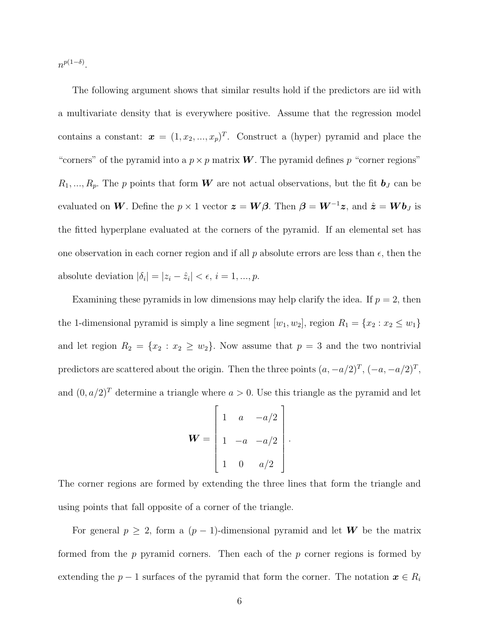$n^{p(1-\delta)}$ .

The following argument shows that similar results hold if the predictors are iid with a multivariate density that is everywhere positive. Assume that the regression model contains a constant:  $\boldsymbol{x} = (1, x_2, ..., x_p)^T$ . Construct a (hyper) pyramid and place the "corners" of the pyramid into a  $p \times p$  matrix **W**. The pyramid defines p "corner regions"  $R_1, \ldots, R_p$ . The p points that form **W** are not actual observations, but the fit  $\mathbf{b}_J$  can be evaluated on *W*. Define the  $p \times 1$  vector  $\boldsymbol{z} = \boldsymbol{W}\boldsymbol{\beta}$ . Then  $\boldsymbol{\beta} = \boldsymbol{W}^{-1}\boldsymbol{z}$ , and  $\hat{\boldsymbol{z}} = \boldsymbol{W}\boldsymbol{b}_J$  is the fitted hyperplane evaluated at the corners of the pyramid. If an elemental set has one observation in each corner region and if all  $p$  absolute errors are less than  $\epsilon$ , then the absolute deviation  $|\delta_i| = |z_i - \hat{z}_i| < \epsilon, i = 1, ..., p$ .

Examining these pyramids in low dimensions may help clarify the idea. If  $p = 2$ , then the 1-dimensional pyramid is simply a line segment  $[w_1, w_2]$ , region  $R_1 = \{x_2 : x_2 \le w_1\}$ and let region  $R_2 = \{x_2 : x_2 \geq w_2\}$ . Now assume that  $p = 3$  and the two nontrivial predictors are scattered about the origin. Then the three points  $(a, -a/2)^T$ ,  $(-a, -a/2)^T$ , and  $(0, a/2)^T$  determine a triangle where  $a > 0$ . Use this triangle as the pyramid and let

|  | $\boldsymbol{a}$ | a/2     |  |
|--|------------------|---------|--|
|  | $\it a$          | $a/2\,$ |  |
|  | 0                | a/2     |  |

.

The corner regions are formed by extending the three lines that form the triangle and using points that fall opposite of a corner of the triangle.

For general  $p \geq 2$ , form a  $(p-1)$ -dimensional pyramid and let **W** be the matrix formed from the  $p$  pyramid corners. Then each of the  $p$  corner regions is formed by extending the  $p-1$  surfaces of the pyramid that form the corner. The notation  $x \in R_i$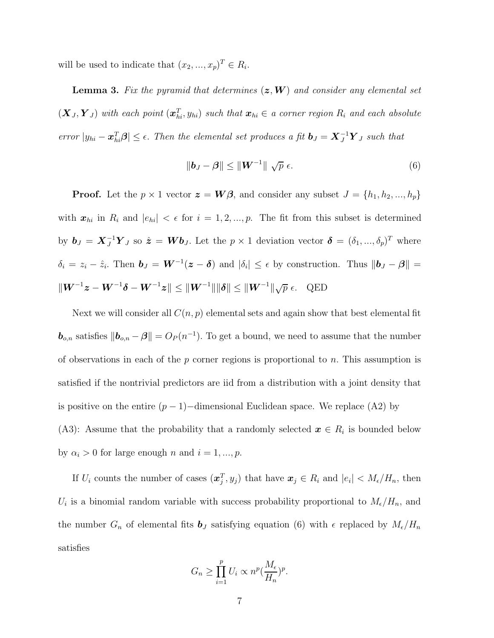will be used to indicate that  $(x_2, ..., x_p)^T \in R_i$ .

**Lemma 3.** *Fix the pyramid that determines* (*z*,*W*) *and consider any elemental set*  $(X_J, Y_J)$  *with each point*  $(x_{hi}^T, y_{hi})$  *such that*  $x_{hi} \in a$  *corner region*  $R_i$  *and each absolute*  $\int$  *error*  $|y_{hi} - x_{hi}^T \beta| \leq \epsilon$ . *Then the elemental set produces a fit*  $b_J = X_J^{-1} Y_J$  *such that* 

$$
\|\boldsymbol{b}_J - \boldsymbol{\beta}\| \le \|\boldsymbol{W}^{-1}\| \sqrt{p} \ \epsilon. \tag{6}
$$

**Proof.** Let the  $p \times 1$  vector  $\boldsymbol{z} = \boldsymbol{W}\boldsymbol{\beta}$ , and consider any subset  $J = \{h_1, h_2, ..., h_p\}$ with  $x_{hi}$  in  $R_i$  and  $|e_{hi}| < \epsilon$  for  $i = 1, 2, ..., p$ . The fit from this subset is determined by  $\mathbf{b}_J = \mathbf{X}_J^{-1} \mathbf{Y}_J$  so  $\hat{\mathbf{z}} = \mathbf{W} \mathbf{b}_J$ . Let the  $p \times 1$  deviation vector  $\boldsymbol{\delta} = (\delta_1, ..., \delta_p)^T$  where  $\delta_i = z_i - \hat{z}_i$ . Then  $\boldsymbol{b}_J = \boldsymbol{W}^{-1}(\boldsymbol{z} - \boldsymbol{\delta})$  and  $|\delta_i| \leq \epsilon$  by construction. Thus  $\|\boldsymbol{b}_J - \boldsymbol{\beta}\| =$  $\|\boldsymbol{W}^{-1}\boldsymbol{z} - \boldsymbol{W}^{-1}\boldsymbol{\delta} - \boldsymbol{W}^{-1}\boldsymbol{z}\| \leq \|\boldsymbol{W}^{-1}\|\|\boldsymbol{\delta}\| \leq \|\boldsymbol{W}^{-1}\| \sqrt{p} \ \epsilon.$  QED

Next we will consider all  $C(n, p)$  elemental sets and again show that best elemental fit **<sub>***o,n***</sub> satisfies**  $||**b**$ **<sub>***o,n***</sub> −** *β***|| =**  $O<sub>P</sub>(n^{-1})$ **. To get a bound, we need to assume that the number** of observations in each of the p corner regions is proportional to n. This assumption is satisfied if the nontrivial predictors are iid from a distribution with a joint density that is positive on the entire  $(p-1)$ –dimensional Euclidean space. We replace (A2) by (A3): Assume that the probability that a randomly selected  $x \in R_i$  is bounded below by  $\alpha_i > 0$  for large enough n and  $i = 1, ..., p$ .

If  $U_i$  counts the number of cases  $(x_j^T, y_j)$  that have  $x_j \in R_i$  and  $|e_i| < M_{\epsilon}/H_n$ , then  $U_i$  is a binomial random variable with success probability proportional to  $M_{\epsilon}/H_n$ , and the number  $G_n$  of elemental fits  $\boldsymbol{b}_J$  satisfying equation (6) with  $\epsilon$  replaced by  $M_{\epsilon}/H_n$ satisfies

$$
G_n \ge \prod_{i=1}^p U_i \propto n^p (\frac{M_{\epsilon}}{H_n})^p.
$$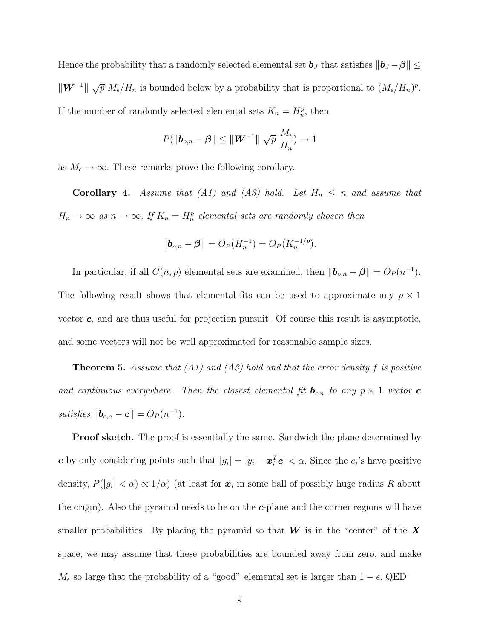Hence the probability that a randomly selected elemental set  $b_J$  that satisfies  $||b_J - \beta|| \le$  $\|\mathbf{W}^{-1}\| \sqrt{p} M_{\epsilon}/H_n$  is bounded below by a probability that is proportional to  $(M_{\epsilon}/H_n)^p$ . If the number of randomly selected elemental sets  $K_n = H_n^p$ , then

$$
P(\|\boldsymbol{b}_{o,n}-\boldsymbol{\beta}\| \leq \|\boldsymbol{W}^{-1}\| \sqrt{p} \ \frac{M_{\epsilon}}{H_n}) \to 1
$$

as  $M_{\epsilon} \to \infty$ . These remarks prove the following corollary.

**Corollary 4.** *Assume that (A1) and (A3) hold. Let*  $H_n \leq n$  *and assume that*  $H_n \to \infty$  *as*  $n \to \infty$ . If  $K_n = H_n^p$  elemental sets are randomly chosen then

$$
\|\mathbf{b}_{o,n} - \mathbf{\beta}\| = O_P(H_n^{-1}) = O_P(K_n^{-1/p}).
$$

In particular, if all  $C(n, p)$  elemental sets are examined, then  $\|\boldsymbol{b}_{o,n} - \boldsymbol{\beta}\| = O_P(n^{-1})$ . The following result shows that elemental fits can be used to approximate any  $p \times 1$ vector *c*, and are thus useful for projection pursuit. Of course this result is asymptotic, and some vectors will not be well approximated for reasonable sample sizes.

**Theorem 5.** *Assume that (A1) and (A3) hold and that the error density* f *is positive and continuous everywhere. Then the closest elemental fit*  $\mathbf{b}_{c,n}$  to any  $p \times 1$  *vector* **c** *satisfies*  $||\bm{b}_{c,n} - \bm{c}|| = O_P(n^{-1}).$ 

**Proof sketch.** The proof is essentially the same. Sandwich the plane determined by *c* by only considering points such that  $|g_i| = |y_i - x_i^T c| < \alpha$ . Since the  $e_i$ 's have positive density,  $P(|g_i| < \alpha) \propto 1/\alpha$ ) (at least for  $x_i$  in some ball of possibly huge radius R about the origin). Also the pyramid needs to lie on the *c*-plane and the corner regions will have smaller probabilities. By placing the pyramid so that *W* is in the "center" of the *X* space, we may assume that these probabilities are bounded away from zero, and make  $M_{\epsilon}$  so large that the probability of a "good" elemental set is larger than  $1 - \epsilon$ . QED